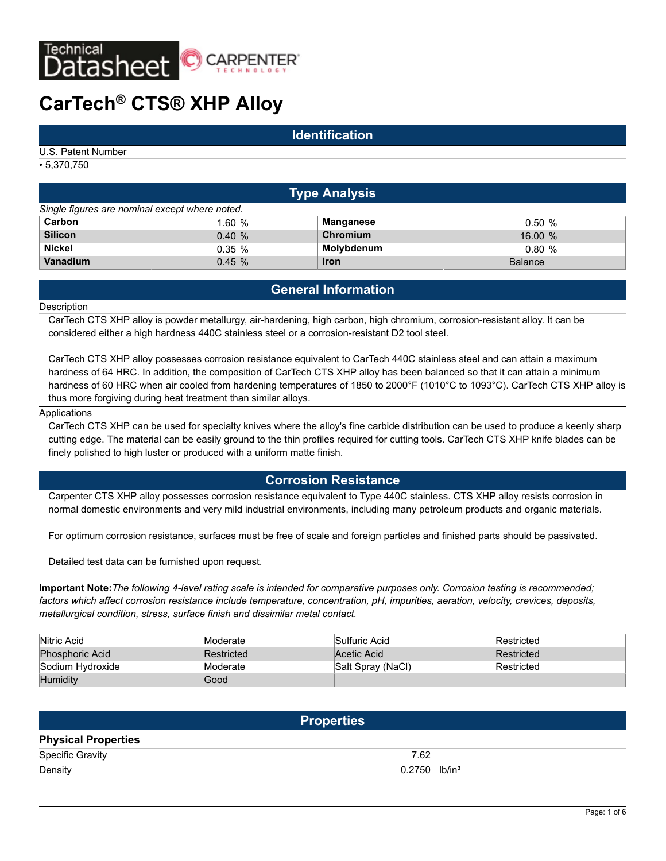

# **CarTech® CTS® XHP Alloy**

### **Identification**

U.S. Patent Number

• 5,370,750

|                                                | <b>Type Analysis</b> |                 |                |  |  |  |  |  |  |  |
|------------------------------------------------|----------------------|-----------------|----------------|--|--|--|--|--|--|--|
| Single figures are nominal except where noted. |                      |                 |                |  |  |  |  |  |  |  |
| Carbon                                         | 1.60%                | Manganese       | 0.50%          |  |  |  |  |  |  |  |
| <b>Silicon</b>                                 | 0.40%                | <b>Chromium</b> | 16.00%         |  |  |  |  |  |  |  |
| <b>Nickel</b>                                  | 0.35%                | Molybdenum      | 0.80%          |  |  |  |  |  |  |  |
| Vanadium                                       | 0.45%                | <b>Iron</b>     | <b>Balance</b> |  |  |  |  |  |  |  |

# **General Information**

#### **Description**

CarTech CTS XHP alloy is powder metallurgy, air-hardening, high carbon, high chromium, corrosion-resistant alloy. It can be considered either a high hardness 440C stainless steel or a corrosion-resistant D2 tool steel.

CarTech CTS XHP alloy possesses corrosion resistance equivalent to CarTech 440C stainless steel and can attain a maximum hardness of 64 HRC. In addition, the composition of CarTech CTS XHP alloy has been balanced so that it can attain a minimum hardness of 60 HRC when air cooled from hardening temperatures of 1850 to 2000°F (1010°C to 1093°C). CarTech CTS XHP alloy is thus more forgiving during heat treatment than similar alloys.

#### Applications

CarTech CTS XHP can be used for specialty knives where the alloy's fine carbide distribution can be used to produce a keenly sharp cutting edge. The material can be easily ground to the thin profiles required for cutting tools. CarTech CTS XHP knife blades can be finely polished to high luster or produced with a uniform matte finish.

## **Corrosion Resistance**

Carpenter CTS XHP alloy possesses corrosion resistance equivalent to Type 440C stainless. CTS XHP alloy resists corrosion in normal domestic environments and very mild industrial environments, including many petroleum products and organic materials.

For optimum corrosion resistance, surfaces must be free of scale and foreign particles and finished parts should be passivated.

Detailed test data can be furnished upon request.

**Important Note:***The following 4-level rating scale is intended for comparative purposes only. Corrosion testing is recommended; factors which affect corrosion resistance include temperature, concentration, pH, impurities, aeration, velocity, crevices, deposits, metallurgical condition, stress, surface finish and dissimilar metal contact.*

| Nitric Acid            | Moderate   | Sulfuric Acid     | Restricted |
|------------------------|------------|-------------------|------------|
| <b>Phosphoric Acid</b> | Restricted | Acetic Acid       | Restricted |
| Sodium Hydroxide       | Moderate   | Salt Spray (NaCl) | Restricted |
| <b>Humidity</b>        | Good       |                   |            |

|                            | <b>Properties</b>           |
|----------------------------|-----------------------------|
| <b>Physical Properties</b> |                             |
| Specific Gravity           | 7.62                        |
| Density                    | $0.2750$ lb/in <sup>3</sup> |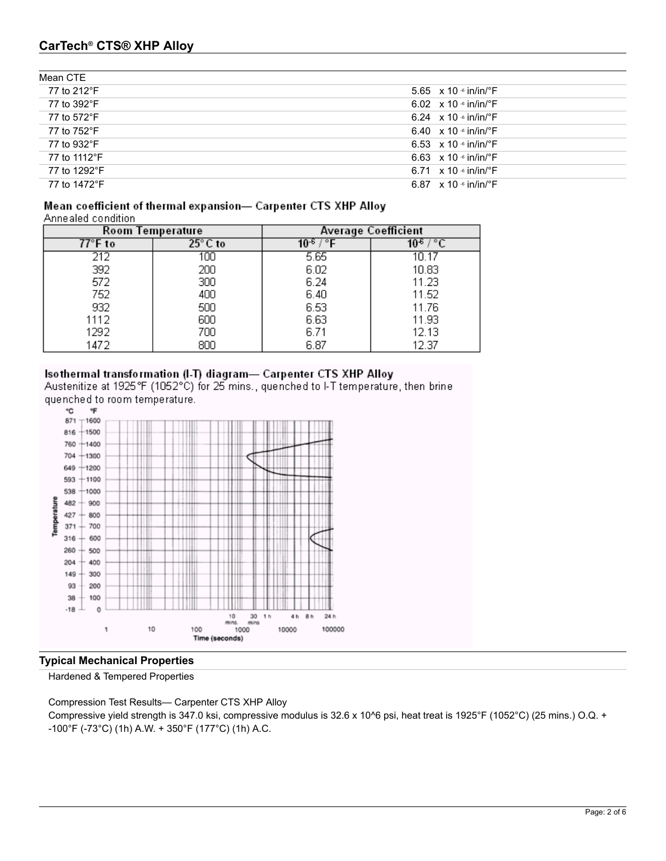# **CarTech® CTS® XHP Alloy**

| Mean CTE     |                                           |
|--------------|-------------------------------------------|
| 77 to 212°F  | 5.65 $\times$ 10 $\cdot$ in/in/ $\cdot$ F |
| 77 to 392°F  | 6.02 $\times$ 10 $\cdot$ in/in/ $\cdot$ F |
| 77 to 572°F  | 6.24 $\times$ 10 $\cdot$ in/in/ $\cdot$ F |
| 77 to 752°F  | 6.40 $\times$ 10 $\cdot$ in/in/ $\cdot$ F |
| 77 to 932°F  | 6.53 $\times$ 10 $\cdot$ in/in/ $\cdot$ F |
| 77 to 1112°F | 6.63 $\times$ 10 $\cdot$ in/in/ $\cdot$ F |
| 77 to 1292°F | 6.71 $\times$ 10 $\cdot$ in/in/ $\cdot$ F |
| 77 to 1472°F | 6.87 $\times$ 10 $\cdot$ in/in/ $\cdot$ F |

#### Mean coefficient of thermal expansion- Carpenter CTS XHP Alloy Annealed condition

| <b>ATTROSICA CONTROL</b> |                         |                            |       |  |  |
|--------------------------|-------------------------|----------------------------|-------|--|--|
|                          | <b>Room Temperature</b> | <b>Average Coefficient</b> |       |  |  |
| 77°F to                  | $25^\circ$ C to         |                            |       |  |  |
| 212                      | 100                     | 5.65                       | 10.17 |  |  |
| 392                      | 200                     | 6.02                       | 10.83 |  |  |
| 572                      | 300                     | 6.24                       | 11.23 |  |  |
| 752                      | 400                     | 6.40                       | 11.52 |  |  |
| 932                      | 500                     | 6.53                       | 11.76 |  |  |
| 1112                     | 600                     | 6.63                       | 11.93 |  |  |
| 1292                     | 700                     | 6.71                       | 12.13 |  |  |
| 1472                     | 800                     | 6.87                       | 12.37 |  |  |

## Isothermal transformation (I-T) diagram- Carpenter CTS XHP Alloy

Austenitize at 1925°F (1052°C) for 25 mins., quenched to I-T temperature, then brine quenched to room temperature.



## **Typical Mechanical Properties**

Hardened & Tempered Properties

Compression Test Results— Carpenter CTS XHP Alloy

Compressive yield strength is 347.0 ksi, compressive modulus is 32.6 x 10^6 psi, heat treat is 1925°F (1052°C) (25 mins.) O.Q. + -100°F (-73°C) (1h) A.W. + 350°F (177°C) (1h) A.C.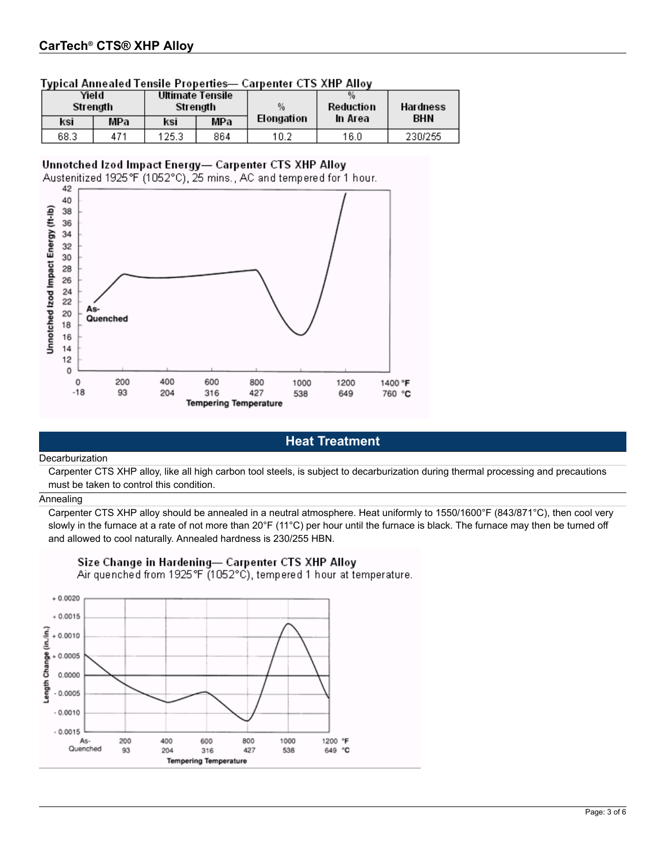| Yield<br>Ultimate Tensile<br>Strength<br>Strenath |     | $\frac{0}{2}$ | Reduction | Hardness   |         |            |
|---------------------------------------------------|-----|---------------|-----------|------------|---------|------------|
| ksi.                                              | MPa | KSİ.          | MPa       | Elongation | In Area | <b>BHN</b> |
| 68.3                                              | 471 | 125.3         | 864       | 10.2       | 16.0    | 230/255    |

## **Typical Annealed Tensile Properties- Carnenter CTS XHP Alloy**

## Unnotched Izod Impact Energy- Carpenter CTS XHP Alloy

Austenitized 1925°F (1052°C), 25 mins., AC and tempered for 1 hour.



# **Heat Treatment**

#### Decarburization

Carpenter CTS XHP alloy, like all high carbon tool steels, is subject to decarburization during thermal processing and precautions must be taken to control this condition.

#### Annealing

Carpenter CTS XHP alloy should be annealed in a neutral atmosphere. Heat uniformly to 1550/1600°F (843/871°C), then cool very slowly in the furnace at a rate of not more than 20°F (11°C) per hour until the furnace is black. The furnace may then be turned off and allowed to cool naturally. Annealed hardness is 230/255 HBN.



## Size Change in Hardening- Carpenter CTS XHP Alloy

Air quenched from 1925 °F (1052°C), tempered 1 hour at temperature.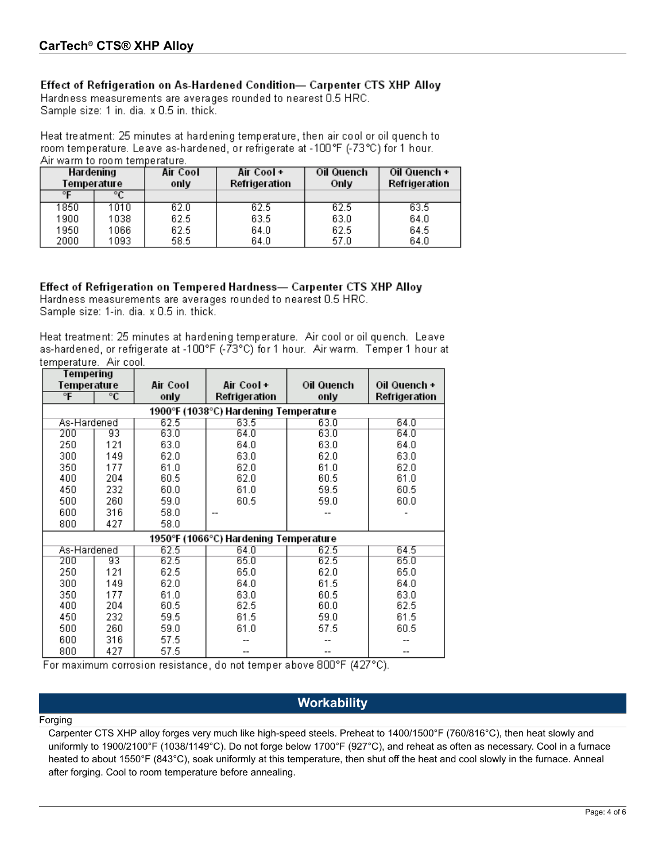## Effect of Refrigeration on As-Hardened Condition- Carpenter CTS XHP Alloy

Hardness measurements are averages rounded to nearest 0.5 HRC. Sample size: 1 in. dia. x 0.5 in. thick.

Heat treatment: 25 minutes at hardening temperature, then air cool or oil quench to room temperature. Leave as-hardened, or refrigerate at -100°F (-73°C) for 1 hour. Air warm to room temperature.

| Hardening<br>Temperature |      | Air Cool<br>only | Air Cool+<br>Refrigeration | Oil Quench<br>Only | Oil Quench +<br>Refrigeration |
|--------------------------|------|------------------|----------------------------|--------------------|-------------------------------|
|                          |      |                  |                            |                    |                               |
| 1850                     | 1010 | 62.0             | 62.5                       | 62.5               | 63.5                          |
| 1900                     | 1038 | 62.5             | 63.5                       | 63.0               | 64.0                          |
| 1950                     | 1066 | 62.5             | 64.0                       | 62.5               | 64.5                          |
| 2000                     | 1093 | 58.5             | 64.0                       | 57.0               | 64.0                          |

Effect of Refrigeration on Tempered Hardness- Carpenter CTS XHP Alloy Hardness measurements are averages rounded to nearest 0.5 HRC. Sample size: 1-in. dia. x 0.5 in. thick.

Heat treatment: 25 minutes at hardening temperature. Air cool or oil quench. Leave as-hardened, or refrigerate at -100°F (-73°C) for 1 hour. Air warm. Temper 1 hour at temperature. Air cool.

| Tempering      |                                       |          |                                       |            |               |  |  |  |  |  |  |  |
|----------------|---------------------------------------|----------|---------------------------------------|------------|---------------|--|--|--|--|--|--|--|
| Temperature    |                                       | Air Cool | Air Cool+                             | Oil Quench | Oil Quench +  |  |  |  |  |  |  |  |
| $\overline{F}$ | $\overline{\text{c}}$                 | only     | Refrigeration                         | only       | Refrigeration |  |  |  |  |  |  |  |
|                | 1900°F (1038°C) Hardening Temperature |          |                                       |            |               |  |  |  |  |  |  |  |
| As-Hardened    |                                       | 62.5     | 63.5                                  | 63.0       | 64.0          |  |  |  |  |  |  |  |
| 200            | 93                                    | 63.0     | 64.0                                  | 63.0       | 64.0          |  |  |  |  |  |  |  |
| 250            | 121                                   | 63.0     | 64.0                                  | 63.0       | 64.0          |  |  |  |  |  |  |  |
| 300            | 149                                   | 62.0     | 63.0                                  | 62.0       | 63.0          |  |  |  |  |  |  |  |
| 350            | 177                                   | 61.0     | 62.0                                  | 61.0       | 62.0          |  |  |  |  |  |  |  |
| 400            | 204                                   | 60.5     | 62.0                                  | 60.5       | 61.0          |  |  |  |  |  |  |  |
| 450            | 232                                   | 60.0     | 61.0                                  | 59.5       | 60.5          |  |  |  |  |  |  |  |
| 500            | 260                                   | 59.0     | 60.5                                  | 59.0       | 60.0          |  |  |  |  |  |  |  |
| 600            | 316                                   | 58.0     |                                       |            |               |  |  |  |  |  |  |  |
| 800            | 427                                   | 58.0     |                                       |            |               |  |  |  |  |  |  |  |
|                |                                       |          | 1950°F (1066°C) Hardening Temperature |            |               |  |  |  |  |  |  |  |
| As-Hardened    |                                       | 62.5     | 64.0                                  | 62.5       | 64.5          |  |  |  |  |  |  |  |
| 200            | 93                                    | 62.5     | 65.0                                  | 62.5       | 65.0          |  |  |  |  |  |  |  |
| 250            | 121                                   | 62.5     | 65.0                                  | 62.0       | 65.0          |  |  |  |  |  |  |  |
| 300            | 149                                   | 62.0     | 64.0                                  | 61.5       | 64.0          |  |  |  |  |  |  |  |
| 350            | 177                                   | 61.0     | 63.0                                  | 60.5       | 63.0          |  |  |  |  |  |  |  |
| 400            | 204                                   | 60.5     | 62.5                                  | 60.0       | 62.5          |  |  |  |  |  |  |  |
| 450            | 232                                   | 59.5     | 61.5                                  | 59.0       | 61.5          |  |  |  |  |  |  |  |
| 500            | 260                                   | 59.0     | 61.0                                  | 57.5       | 60.5          |  |  |  |  |  |  |  |
| 600            | 316                                   | 57.5     |                                       |            |               |  |  |  |  |  |  |  |
| 800            | 427                                   | 57.5     |                                       |            |               |  |  |  |  |  |  |  |

For maximum corrosion resistance, do not temper above 800°F (427°C).

# **Workability**

Forging

Carpenter CTS XHP alloy forges very much like high-speed steels. Preheat to 1400/1500°F (760/816°C), then heat slowly and uniformly to 1900/2100°F (1038/1149°C). Do not forge below 1700°F (927°C), and reheat as often as necessary. Cool in a furnace heated to about 1550°F (843°C), soak uniformly at this temperature, then shut off the heat and cool slowly in the furnace. Anneal after forging. Cool to room temperature before annealing.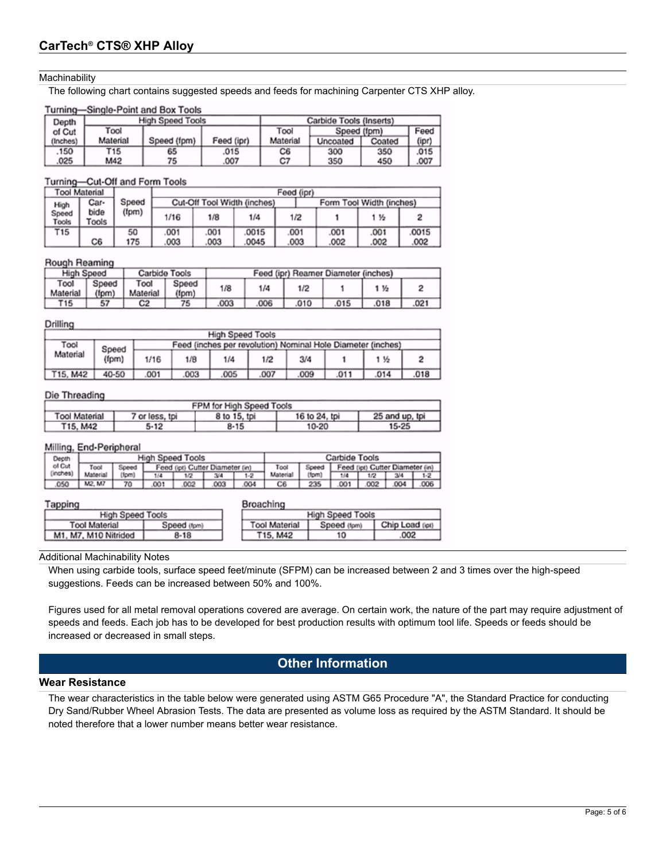#### **Machinability**

The following chart contains suggested speeds and feeds for machining Carpenter CTS XHP alloy.

#### Turning-Single-Point and Box Tools

| Depth    |          | <b>High Speed Tools</b> | Carbide Tools (Inserts) |                     |          |        |       |
|----------|----------|-------------------------|-------------------------|---------------------|----------|--------|-------|
| of Cut   | Tool     |                         |                         | Tool<br>Speed (fpm) |          | Feed   |       |
| (Inches) | Material | Speed (fpm)             | Feed (ipr)              | Material            | Uncoated | Coated | (ipr) |
| .150     | T15      | 65                      | .015                    | C6                  | 300      | 350    | .015  |
| 025      | M42      | 75                      | .007                    | C7                  | 350      | 450    | .007  |

#### Turning-Cut-Off and Form Tools

|                | <b>Tool Material</b>   |       | Feed (ipr)                  |     |      |      |                          |      |      |  |  |
|----------------|------------------------|-------|-----------------------------|-----|------|------|--------------------------|------|------|--|--|
| High           | Car-                   | Speed | Cut-Off Tool Width (inches) |     |      |      | Form Tool Width (inches) |      |      |  |  |
| Speed<br>Tools | bide<br>(fpm)<br>Tools |       | 1/16                        | 1/8 | 1/4  | 1/2  |                          | 115  |      |  |  |
| T15            |                        | 50    | .001                        | 001 | 0015 | .001 | 001                      | .001 | 0015 |  |  |
|                | C6                     | 175   | .003                        | 003 | 0045 | .003 | .002                     | .002 | .002 |  |  |

#### Rough Reaming

| Carbide Tools<br>High Speed |                |                  |                |     |      | Feed (ipr) Reamer Diameter (inches) |     |      |      |
|-----------------------------|----------------|------------------|----------------|-----|------|-------------------------------------|-----|------|------|
| Tool<br>Material            | Speed<br>(fom) | Tool<br>Material | Speed<br>(fpm) | 1/8 | 1/4  | 1/2                                 |     | 1 %  |      |
| T15                         | 57             | C2               | 75             | 003 | .006 | 010                                 | 015 | .018 | .021 |

#### Drilling

|          | <b>High Speed Tools</b> |      |                                                             |     |     |      |      |      |      |  |  |  |
|----------|-------------------------|------|-------------------------------------------------------------|-----|-----|------|------|------|------|--|--|--|
| Tool     | Speed                   |      | Feed (inches per revolution) Nominal Hole Diameter (inches) |     |     |      |      |      |      |  |  |  |
| Material | (fpm)                   | 1/16 | 1/B                                                         | 1/4 | 1/2 | 3/4  |      | 1 %  |      |  |  |  |
| T15, M42 | 40-50                   | 001  | 003                                                         | 005 | 007 | .009 | .011 | .014 | .018 |  |  |  |

#### Die Threading

| FPM for High Speed Tools |                |              |               |                |  |  |
|--------------------------|----------------|--------------|---------------|----------------|--|--|
| <b>Tool Material</b>     | 7 or less, tpi | 8 to 15, tpi | 16 to 24, tpi | 25 and up, tpi |  |  |
| T15, M42                 | 5-12           | 8-15         | 10-20         | $15 - 25$      |  |  |

#### Milling, End-Peripheral

| __<br>Depth                                                | <b>High Speed Tools</b> |        |     |     |                                                 | Carbide Tools |          |        |     |      |      |      |
|------------------------------------------------------------|-------------------------|--------|-----|-----|-------------------------------------------------|---------------|----------|--------|-----|------|------|------|
| of Cut<br>Feed (ipt) Cutter Diameter (in)<br>Tool<br>Speed |                         |        |     |     | Tool<br>Speed   Feed (ipt) Cutter Diameter (in) |               |          |        |     |      |      |      |
| (inches)                                                   | Material F              | (forn) | 1/4 | 1/2 | 3/4                                             |               | Material | (form) | 1/4 | 1/2  | 3/4  |      |
| 050                                                        | M2, M7                  | 70     | 001 | 002 | .003                                            | 004           | C6       | 235    | 001 | .002 | .004 | .006 |

#### Tapping

| Broaching |  |
|-----------|--|
|-----------|--|

| <b>High Speed Tools</b> |             |  | <b>High Speed Tools</b> |             |               |
|-------------------------|-------------|--|-------------------------|-------------|---------------|
| <b>Tool Material</b>    | Speed (fpm) |  | <b>Tool Material</b>    | Speed (fpm) | Chip Load (o) |
| M1, M7, M10 Nitrided    | 8-18        |  | T15, M42                | 10          | .002          |

#### Additional Machinability Notes

When using carbide tools, surface speed feet/minute (SFPM) can be increased between 2 and 3 times over the high-speed suggestions. Feeds can be increased between 50% and 100%.

Figures used for all metal removal operations covered are average. On certain work, the nature of the part may require adjustment of speeds and feeds. Each job has to be developed for best production results with optimum tool life. Speeds or feeds should be increased or decreased in small steps.

## **Other Information**

#### **Wear Resistance**

The wear characteristics in the table below were generated using ASTM G65 Procedure "A", the Standard Practice for conducting Dry Sand/Rubber Wheel Abrasion Tests. The data are presented as volume loss as required by the ASTM Standard. It should be noted therefore that a lower number means better wear resistance.